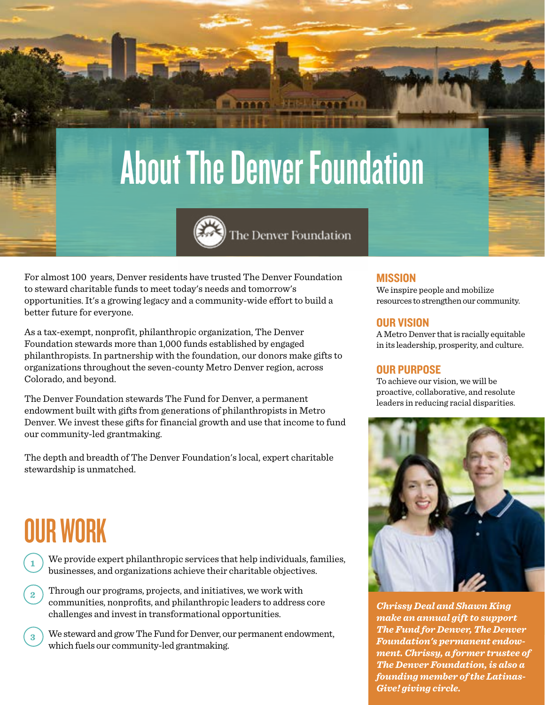# About The Denver Foundation



For almost 100 years, Denver residents have trusted The Denver Foundation to steward charitable funds to meet today's needs and tomorrow's opportunities. It's a growing legacy and a community-wide effort to build a better future for everyone.

As a tax-exempt, nonprofit, philanthropic organization, The Denver Foundation stewards more than 1,000 funds established by engaged philanthropists. In partnership with the foundation, our donors make gifts to organizations throughout the seven-county Metro Denver region, across Colorado, and beyond.

The Denver Foundation stewards The Fund for Denver, a permanent endowment built with gifts from generations of philanthropists in Metro Denver. We invest these gifts for financial growth and use that income to fund our community-led grantmaking.

The depth and breadth of The Denver Foundation's local, expert charitable stewardship is unmatched.

## OUR WORK

**1**

**3**

We provide expert philanthropic services that help individuals, families, businesses, and organizations achieve their charitable objectives.

Through our programs, projects, and initiatives, we work with communities, nonprofits, and philanthropic leaders to address core challenges and invest in transformational opportunities. **2**

We steward and grow The Fund for Denver, our permanent endowment, which fuels our community-led grantmaking.

### **MISSION**

We inspire people and mobilize resources to strengthen our community.

#### OUR VISION

A Metro Denver that is racially equitable in its leadership, prosperity, and culture.

### OUR PURPOSE

To achieve our vision, we will be proactive, collaborative, and resolute leaders in reducing racial disparities.



*Chrissy Deal and Shawn King make an annual gift to support The Fund for Denver, The Denver Foundation's permanent endowment. Chrissy, a former trustee of The Denver Foundation, is also a founding member of the Latinas-Give! giving circle.*